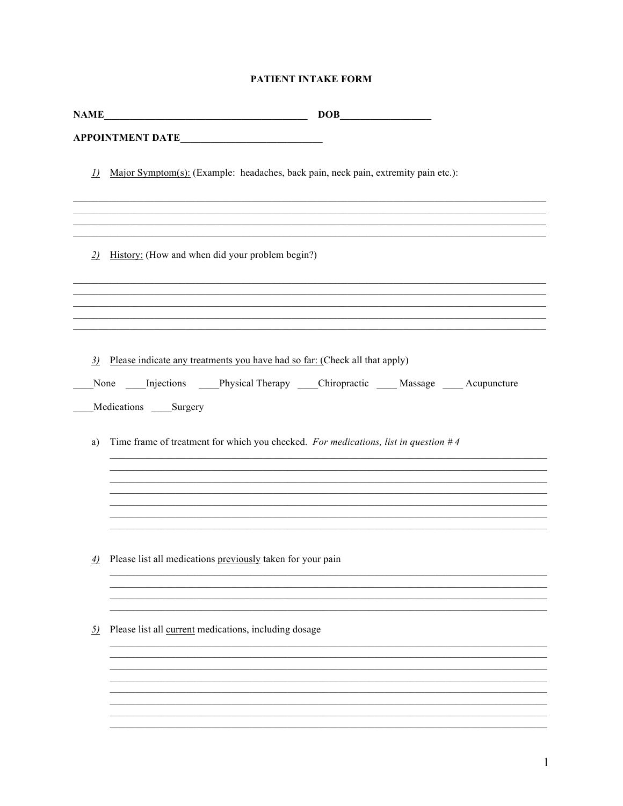|                 | $\mathbf{NAME}\_\_\_\_\_\_\_\_\_$                                                                                                                                      |
|-----------------|------------------------------------------------------------------------------------------------------------------------------------------------------------------------|
|                 | APPOINTMENT DATE                                                                                                                                                       |
| $\underline{D}$ | Major Symptom(s): (Example: headaches, back pain, neck pain, extremity pain etc.):                                                                                     |
| 2)              | ,我们也不能在这里的时候,我们也不能在这里的时候,我们也不能会在这里,我们也不能会在这里,我们也不能会在这里的时候,我们也不能会在这里的时候,我们也不能会在这里<br>History: (How and when did your problem begin?)                                    |
|                 |                                                                                                                                                                        |
| 3)              | Please indicate any treatments you have had so far: (Check all that apply)<br>None Injections Physical Therapy Chiropractic Massage Acupuncture<br>Medications Surgery |
| a)              | Time frame of treatment for which you checked. For medications, list in question $#4$                                                                                  |
|                 |                                                                                                                                                                        |
| $\overline{4)}$ | Please list all medications previously taken for your pain                                                                                                             |
| <u>5)</u>       | Please list all current medications, including dosage                                                                                                                  |
|                 |                                                                                                                                                                        |
|                 |                                                                                                                                                                        |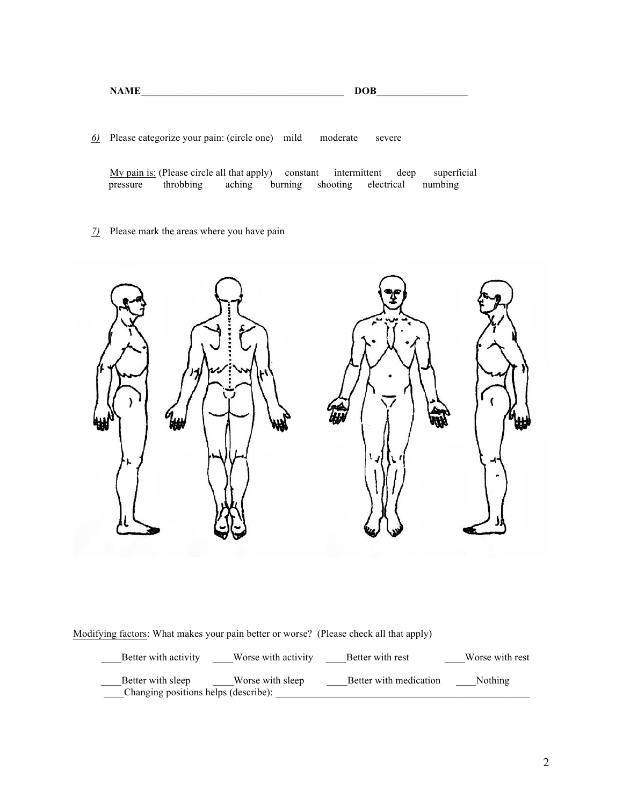| <b>NAME</b> | <b>DOB</b> |
|-------------|------------|
|             |            |

*6)* Please categorize your pain: (circle one) mild moderate severe

My pain is: (Please circle all that apply) constant intermittent deep superficial pressure throbbing

*7)* Please mark the areas where you have pain



Modifying factors: What makes your pain better or worse? (Please check all that apply)

| Better with activity                                      | Worse with activity | Better with rest       | Worse with rest |
|-----------------------------------------------------------|---------------------|------------------------|-----------------|
| Better with sleep<br>Changing positions helps (describe): | Worse with sleep    | Better with medication | <b>Nothing</b>  |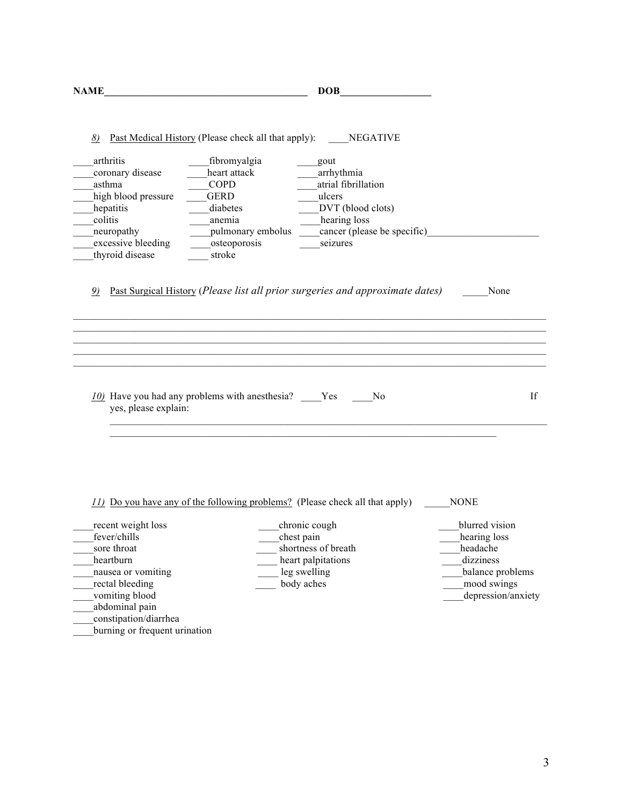| <b>NAME</b>                                                                                                                                                                                                                       | <b>DOB</b>                                                                                                                                                                                                                                                    |                                                                                                |
|-----------------------------------------------------------------------------------------------------------------------------------------------------------------------------------------------------------------------------------|---------------------------------------------------------------------------------------------------------------------------------------------------------------------------------------------------------------------------------------------------------------|------------------------------------------------------------------------------------------------|
| 8)<br>arthritis<br>heart attack<br>coronary disease<br>asthma<br><b>COPD</b><br>high blood pressure<br><b>GERD</b><br>hepatitis<br>diabetes<br>colitis<br>anemia<br>neuropathy<br>excessive bleeding<br>thyroid disease<br>stroke | <b>Past Medical History (Please check all that apply):</b> NEGATIVE<br>_fibromyalgia<br>gout<br>arrhythmia<br>atrial fibrillation<br>ulcers<br>DVT (blood clots)<br>hearing loss<br>pulmonary embolus cancer (please be specific)<br>osteoporosis<br>seizures |                                                                                                |
| $\mathcal{D}$                                                                                                                                                                                                                     | <u>Past Surgical History</u> (Please list all prior surgeries and approximate dates)<br>,我们也不能在这里的时候,我们也不能在这里的时候,我们也不能会在这里的时候,我们也不能会在这里的时候,我们也不能会在这里的时候,我们也不能会在这里的时候,我们也不                                                                                     | None                                                                                           |
|                                                                                                                                                                                                                                   |                                                                                                                                                                                                                                                               |                                                                                                |
| yes, please explain:                                                                                                                                                                                                              | N <sub>0</sub>                                                                                                                                                                                                                                                | If                                                                                             |
|                                                                                                                                                                                                                                   |                                                                                                                                                                                                                                                               |                                                                                                |
| recent weight loss                                                                                                                                                                                                                | <i>II)</i> Do you have any of the following problems? (Please check all that apply)<br>chronic cough                                                                                                                                                          | <b>NONE</b><br>blurred vision                                                                  |
| fever/chills<br>sore throat<br>heartburn<br>nausea or vomiting<br>rectal bleeding<br>vomiting blood<br>abdominal pain<br>constipation/diarrhea                                                                                    | chest pain<br>shortness of breath<br>heart palpitations<br>leg swelling<br>body aches                                                                                                                                                                         | hearing loss<br>headache<br>dizziness<br>balance problems<br>mood swings<br>depression/anxiety |

burning or frequent urination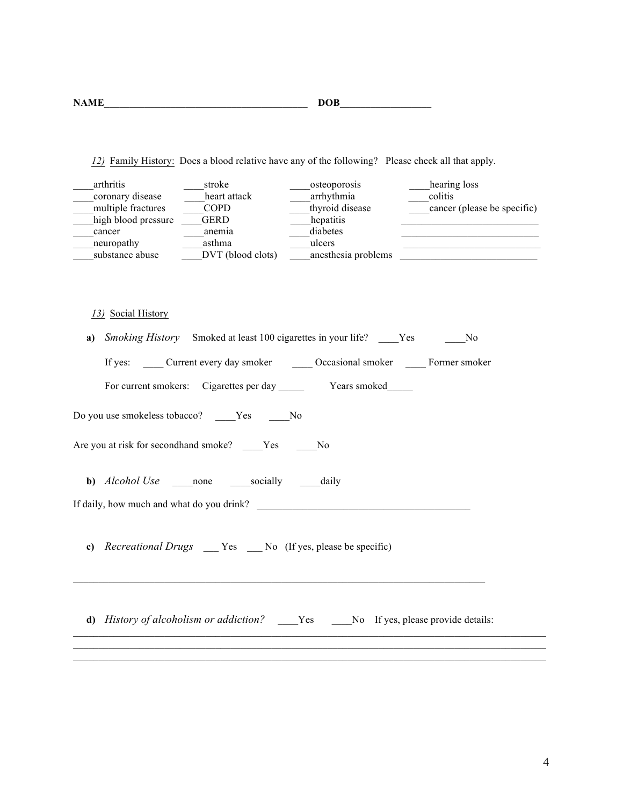| <b>NAME</b> | <b>DOB</b> |
|-------------|------------|
|-------------|------------|

*12)* Family History: Does a blood relative have any of the following? Please check all that apply.

| arthritis           | stroke            | osteoporosis        | hearing loss                |
|---------------------|-------------------|---------------------|-----------------------------|
| coronary disease    | heart attack      | arrhythmia          | colitis                     |
| multiple fractures  | COPD              | thyroid disease     | cancer (please be specific) |
| high blood pressure | GERD              | hepatitis           |                             |
| cancer              | anemia            | diabetes            |                             |
| neuropathy          | asthma            | ulcers              |                             |
| substance abuse     | DVT (blood clots) | anesthesia problems |                             |

## *13)* Social History

| a) | <i>Smoking History</i> Smoked at least 100 cigarettes in your life? _____Yes ________No |
|----|-----------------------------------------------------------------------------------------|
|    | If yes: ______ Current every day smoker _______ Occasional smoker ______ Former smoker  |
|    |                                                                                         |
|    | Do you use smokeless tobacco? _____Yes ______No                                         |
|    | Are you at risk for secondhand smoke? ____Yes ____No                                    |
|    |                                                                                         |
|    |                                                                                         |
| c) | Recreational Drugs __ Yes _ No (If yes, please be specific)                             |
|    | d) History of alcoholism or addiction? _____Yes _____No If yes, please provide details: |
|    |                                                                                         |